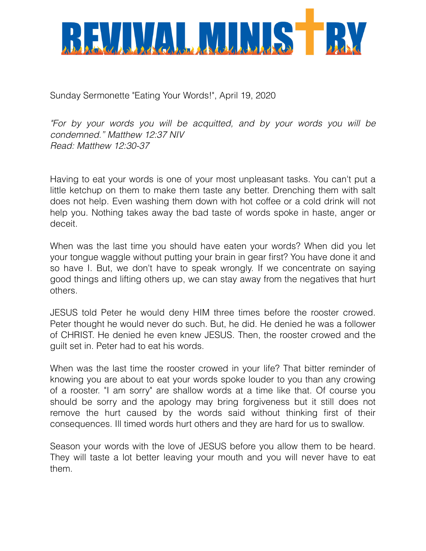

Sunday Sermonette "Eating Your Words!", April 19, 2020

*"For by your words you will be acquitted, and by your words you will be condemned." Matthew 12:37 NIV Read: Matthew 12:30-37* 

Having to eat your words is one of your most unpleasant tasks. You can't put a little ketchup on them to make them taste any better. Drenching them with salt does not help. Even washing them down with hot coffee or a cold drink will not help you. Nothing takes away the bad taste of words spoke in haste, anger or deceit.

When was the last time you should have eaten your words? When did you let your tongue waggle without putting your brain in gear first? You have done it and so have I. But, we don't have to speak wrongly. If we concentrate on saying good things and lifting others up, we can stay away from the negatives that hurt others.

JESUS told Peter he would deny HIM three times before the rooster crowed. Peter thought he would never do such. But, he did. He denied he was a follower of CHRIST. He denied he even knew JESUS. Then, the rooster crowed and the guilt set in. Peter had to eat his words.

When was the last time the rooster crowed in your life? That bitter reminder of knowing you are about to eat your words spoke louder to you than any crowing of a rooster. "I am sorry" are shallow words at a time like that. Of course you should be sorry and the apology may bring forgiveness but it still does not remove the hurt caused by the words said without thinking first of their consequences. Ill timed words hurt others and they are hard for us to swallow.

Season your words with the love of JESUS before you allow them to be heard. They will taste a lot better leaving your mouth and you will never have to eat them.